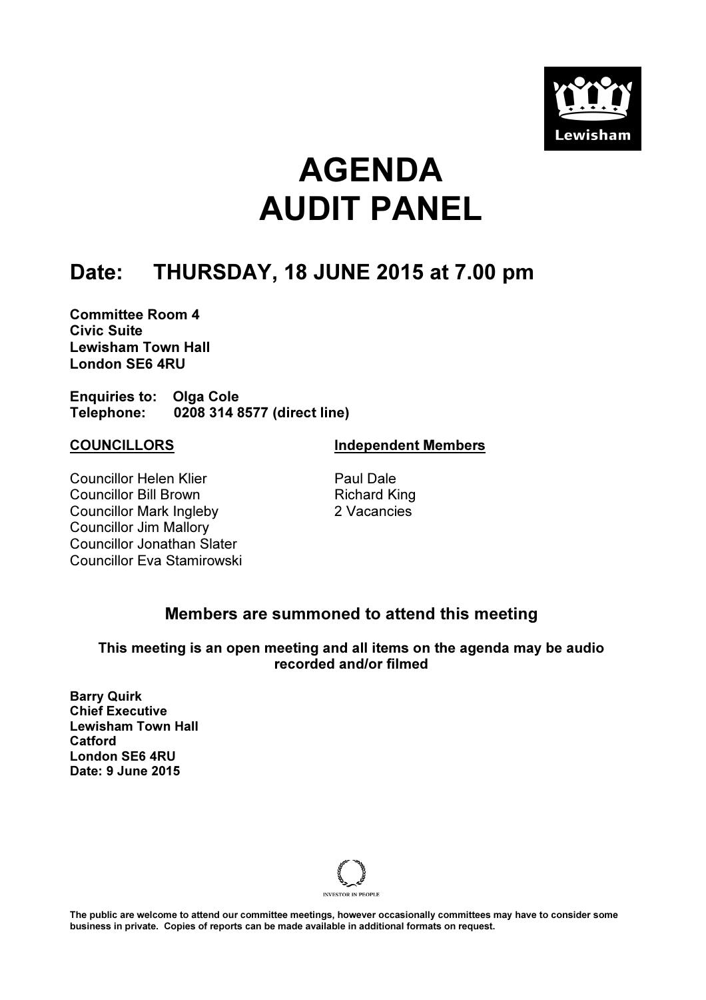

# AGENDA AUDIT PANEL

### Date: THURSDAY, 18 JUNE 2015 at 7.00 pm

Committee Room 4 Civic Suite Lewisham Town Hall London SE6 4RU

Enquiries to: Olga Cole Telephone: 0208 314 8577 (direct line)

Councillor Helen Klier Councillor Bill Brown Councillor Mark Ingleby Councillor Jim Mallory Councillor Jonathan Slater Councillor Eva Stamirowski

COUNCILLORS Independent Members

 Paul Dale Richard King 2 Vacancies

### Members are summoned to attend this meeting

This meeting is an open meeting and all items on the agenda may be audio recorded and/or filmed

Barry Quirk Chief Executive Lewisham Town Hall Catford London SE6 4RU Date: 9 June 2015



The public are welcome to attend our committee meetings, however occasionally committees may have to consider some business in private. Copies of reports can be made available in additional formats on request.